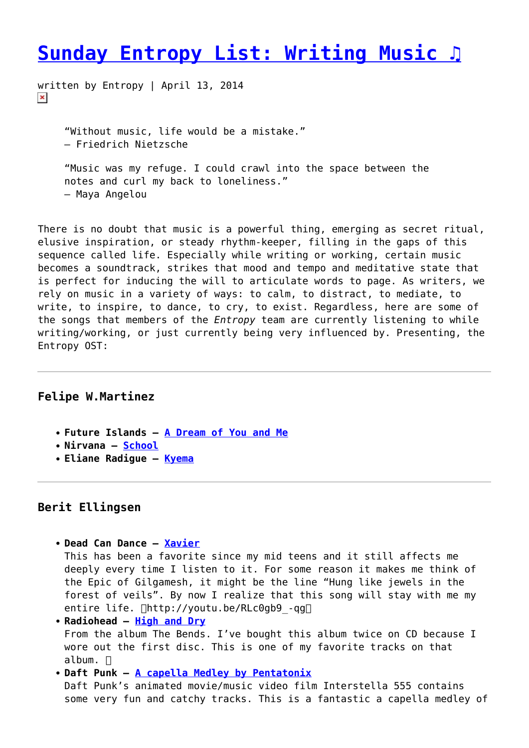# **[Sunday Entropy List: Writing Music ♫](https://entropymag.org/sunday-entropy-list-writing-music/)**

written by Entropy | April 13, 2014  $\pmb{\times}$ 

> "Without music, life would be a mistake." ― Friedrich Nietzsche

"Music was my refuge. I could crawl into the space between the notes and curl my back to loneliness." ― Maya Angelou

There is no doubt that music is a powerful thing, emerging as secret ritual, elusive inspiration, or steady rhythm-keeper, filling in the gaps of this sequence called life. Especially while writing or working, certain music becomes a soundtrack, strikes that mood and tempo and meditative state that is perfect for inducing the will to articulate words to page. As writers, we rely on music in a variety of ways: to calm, to distract, to mediate, to write, to inspire, to dance, to cry, to exist. Regardless, here are some of the songs that members of the *Entropy* team are currently listening to while writing/working, or just currently being very influenced by. Presenting, the Entropy OST:

#### **Felipe W.Martinez**

- **Future Islands – [A Dream of You and Me](https://www.youtube.com/watch?v=d5gUsnJX2oA)**
- **Nirvana [School](https://www.youtube.com/watch?v=Fa30bdEXNeM)**
- **Eliane Radigue – [Kyema](https://www.youtube.com/watch?v=PnbGirPTgF0)**

#### **Berit Ellingsen**

```
Dead Can Dance – Xavier
This has been a favorite since my mid teens and it still affects me
deeply every time I listen to it. For some reason it makes me think of
the Epic of Gilgamesh, it might be the line "Hung like jewels in the
forest of veils". By now I realize that this song will stay with me my
entire life. \Boxhttp://youtu.be/RLc0gb9 -gg\BoxRadiohead – High and Dry
From the album The Bends. I've bought this album twice on CD because I
```
wore out the first disc. This is one of my favorite tracks on that  $album.  $\Box$$ 

**Daft Punk – [A capella Medley by Pentatonix](https://www.youtube.com/watch?v=3MteSlpxCpo)** Daft Punk's animated movie/music video film Interstella 555 contains some very fun and catchy tracks. This is a fantastic a capella medley of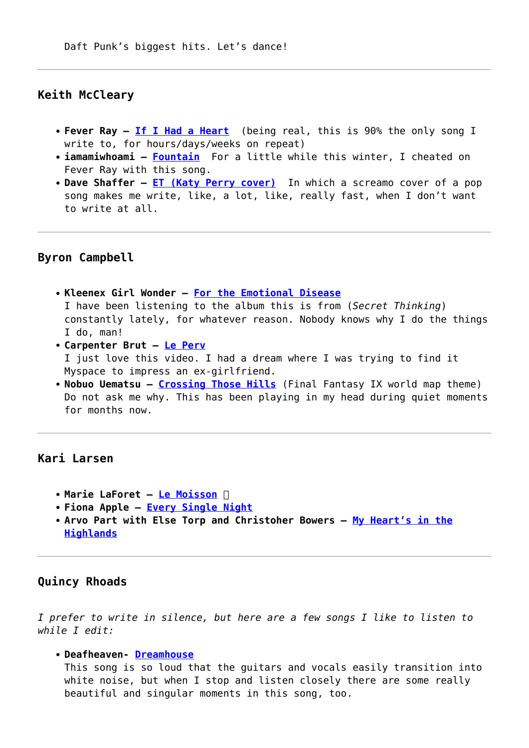### **Keith McCleary**

- **Fever Ray [If I Had a Heart](https://www.youtube.com/watch?v=EBAzlNJonO8)** (being real, this is 90% the only song I write to, for hours/days/weeks on repeat)
- **iamamiwhoami [Fountain](https://www.youtube.com/watch?v=bRazgMj_cfE)** For a little while this winter, I cheated on Fever Ray with this song.
- **Dave Shaffer [ET \(Katy Perry cover\)](https://www.youtube.com/watch?v=NTw9dBlHSgM)** In which a screamo cover of a pop song makes me write, like, a lot, like, really fast, when I don't want to write at all.

#### **Byron Campbell**

- **Kleenex Girl Wonder – [For the Emotional Disease](https://www.youtube.com/watch?v=H4r3DPLlu4E)** I have been listening to the album this is from (*Secret Thinking*) constantly lately, for whatever reason. Nobody knows why I do the things I do, man!
- **Carpenter Brut – [Le Perv](https://www.youtube.com/watch?v=7fDvxlK2FMc)** I just love this video. I had a dream where I was trying to find it Myspace to impress an ex-girlfriend.
- **Nobuo Uematsu – [Crossing Those Hills](https://www.youtube.com/watch?v=3UtoYJ8Lk5A)** (Final Fantasy IX world map theme) Do not ask me why. This has been playing in my head during quiet moments for months now.

## **Kari Larsen**

- **Marie LaForet – [Le Moisson](https://www.youtube.com/watch?v=X9ypZbAfeo4‬)**
- **Fiona Apple – [Every Single Night](https://www.youtube.com/watch?v=bIlLq4BqGdg&feature=kp‬)**
- **Arvo Part with Else Torp and Christoher Bowers [My Heart's in the](‪https://www.youtube.com/watch?v=acnH6M1Ee8k‬) [Highlands](‪https://www.youtube.com/watch?v=acnH6M1Ee8k‬)**

#### **Quincy Rhoads**

*I prefer to write in silence, but here are a few songs I like to listen to while I edit:*

#### **Deafheaven- [Dreamhouse](http://youtu.be/RWyVhIBmdGw)**

This song is so loud that the guitars and vocals easily transition into white noise, but when I stop and listen closely there are some really beautiful and singular moments in this song, too.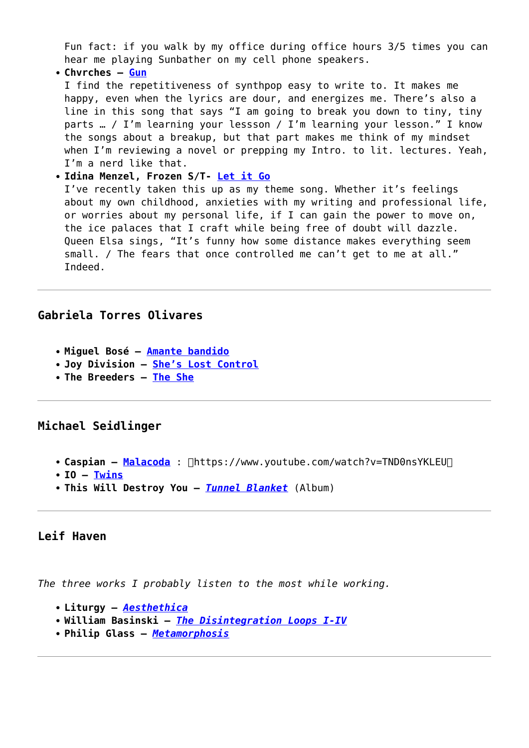Fun fact: if you walk by my office during office hours 3/5 times you can hear me playing Sunbather on my cell phone speakers.

**Chvrches – [Gun](http://youtu.be/ktoaj1IpTbw)**

I find the repetitiveness of synthpop easy to write to. It makes me happy, even when the lyrics are dour, and energizes me. There's also a line in this song that says "I am going to break you down to tiny, tiny parts … / I'm learning your lessson / I'm learning your lesson." I know the songs about a breakup, but that part makes me think of my mindset when I'm reviewing a novel or prepping my Intro. to lit. lectures. Yeah, I'm a nerd like that.

#### **Idina Menzel, Frozen S/T- [Let it Go](http://youtu.be/moSFlvxnbgk)**

I've recently taken this up as my theme song. Whether it's feelings about my own childhood, anxieties with my writing and professional life, or worries about my personal life, if I can gain the power to move on, the ice palaces that I craft while being free of doubt will dazzle. Queen Elsa sings, "It's funny how some distance makes everything seem small. / The fears that once controlled me can't get to me at all." Indeed.

## **Gabriela Torres Olivares**

- **Miguel Bosé – [Amante bandido](https://www.youtube.com/watch?v=HwQM8XM5GKQ)**
- **Joy Division [She's Lost Control](httphttps://www.youtube.com/watch?v=zsHoOIHDutE)**
- **The Breeders [The She](https://www.youtube.com/watch?v=0HqPGggh7RU)**

# **Michael Seidlinger**

- **Caspian [Malacoda](https://www.youtube.com/watch?v=TND0nsYKLEU)** :  $\Box$ https://www.youtube.com/watch?v=TND0nsYKLEU $\Box$
- $\cdot$  **IO**  $-$  **[Twins](https://www.youtube.com/watch?v=DEsoXjLgibA‬)**
- **This Will Destroy You** *[Tunnel Blanket](https://www.youtube.com/watch?v=KStWfDdOYlM)* (Album)

## **Leif Haven**

*The three works I probably listen to the most while working.*

```
Liturgy – Aesthethica
```
- **William Basinski** *[The Disintegration Loops I-IV](https://www.youtube.com/watch?v=qYOr8TlnqsY&list=PLGRu5MVQ_5I9zeyQHT4_pbY0wJ1g0QW4a)*
- **Philip Glass** *[Metamorphosis](https://www.youtube.com/watch?v=4qAAPRbRSc0)*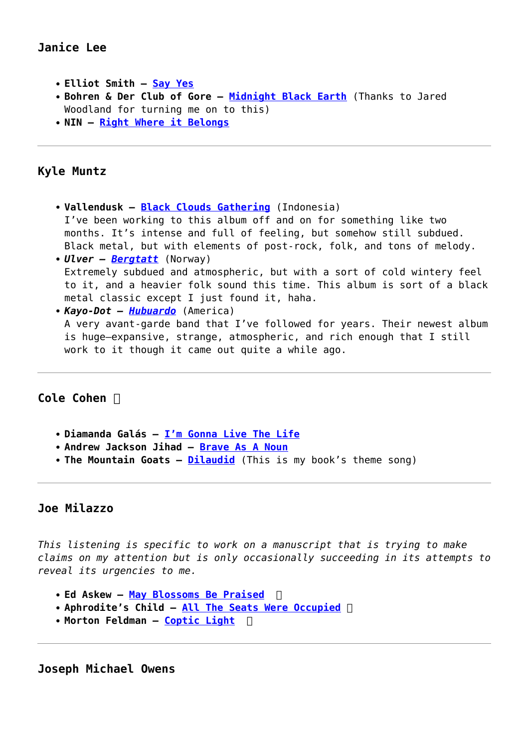# **Janice Lee**

- **Elliot Smith [Say Yes](https://www.youtube.com/watch?v=LcnHjjLdNXQ)**
- **Bohren & Der Club of Gore [Midnight Black Earth](https://www.youtube.com/watch?v=RErmfXDMbvo)** (Thanks to Jared Woodland for turning me on to this)
- **NIN – [Right Where it Belongs](https://www.youtube.com/watch?v=1jAyfGzSaz0)**

## **Kyle Muntz**

- **Vallendusk [Black Clouds Gathering](https://pestproductions.bandcamp.com/album/black-clouds-gathering)** (Indonesia) I've been working to this album off and on for something like two months. It's intense and full of feeling, but somehow still subdued. Black metal, but with elements of post-rock, folk, and tons of melody. *Ulver – [Bergtatt](https://www.youtube.com/watch?v=M3Ubctz2ywA)* (Norway)
- Extremely subdued and atmospheric, but with a sort of cold wintery feel to it, and a heavier folk sound this time. This album is sort of a black metal classic except I just found it, haha.

```
Kayo-Dot – Hubuardo (America)
A very avant-garde band that I've followed for years. Their newest album
is huge—expansive, strange, atmospheric, and rich enough that I still
work to it though it came out quite a while ago.
```
# **Cole Cohen**

- **Diamanda Galás – [I'm Gonna Live The Life](https://www.youtube.com/watch?v=M1vHlTDoR9s)**
- **Andrew Jackson Jihad [Brave As A Noun](https://www.youtube.com/watch?v=N9vzxzjsv6g)**
- The Mountain Goats **[Dilaudid](https://www.youtube.com/watch?v=6Dhyw30g__Q&feature=kp%E2%80%AC)** (This is my book's theme song)

#### **Joe Milazzo**

*This listening is specific to work on a manuscript that is trying to make claims on my attention but is only occasionally succeeding in its attempts to reveal its urgencies to me.*

- **Ed Askew – [May Blossoms Be Praised](http://www.youtube.com/watch?v=vMTUI9o_imI‬)**
- **Aphrodite's Child [All The Seats Were Occupied](https://www.youtube.com/watch?v=dZfcxVxU5f0)**
- **Morton Feldman – [Coptic Light](http://www.youtube.com/watch?v=PgS37X4P2hM‬)**

**Joseph Michael Owens**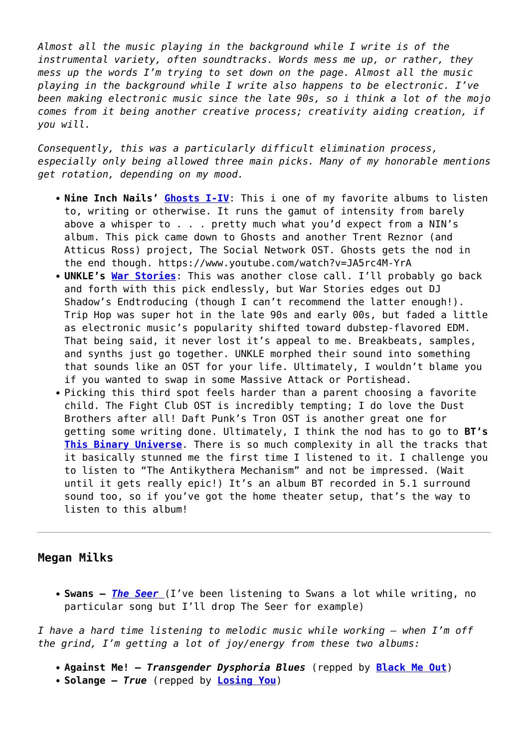*Almost all the music playing in the background while I write is of the instrumental variety, often soundtracks. Words mess me up, or rather, they mess up the words I'm trying to set down on the page. Almost all the music playing in the background while I write also happens to be electronic. I've been making electronic music since the late 90s, so i think a lot of the mojo comes from it being another creative process; creativity aiding creation, if you will.*

*Consequently, this was a particularly difficult elimination process, especially only being allowed three main picks. Many of my honorable mentions get rotation, depending on my mood.*

- **Nine Inch Nails' [Ghosts I-IV](https://www.youtube.com/watch?v=JA5rc4M-YrA)**: This i one of my favorite albums to listen to, writing or otherwise. It runs the gamut of intensity from barely above a whisper to . . . pretty much what you'd expect from a NIN's album. This pick came down to Ghosts and another Trent Reznor (and Atticus Ross) project, The Social Network OST. Ghosts gets the nod in the end though. https://www.youtube.com/watch?v=JA5rc4M-YrA
- **UNKLE's [War Stories](https://www.youtube.com/watch?v=D-0aAxaQ2wo&feature=kp)**: This was another close call. I'll probably go back and forth with this pick endlessly, but War Stories edges out DJ Shadow's Endtroducing (though I can't recommend the latter enough!). Trip Hop was super hot in the late 90s and early 00s, but faded a little as electronic music's popularity shifted toward dubstep-flavored EDM. That being said, it never lost it's appeal to me. Breakbeats, samples, and synths just go together. UNKLE morphed their sound into something that sounds like an OST for your life. Ultimately, I wouldn't blame you if you wanted to swap in some Massive Attack or Portishead.
- Picking this third spot feels harder than a parent choosing a favorite child. The Fight Club OST is incredibly tempting; I do love the Dust Brothers after all! Daft Punk's Tron OST is another great one for getting some writing done. Ultimately, I think the nod has to go to **BT's [This Binary Universe](https://www.youtube.com/watch?v=NDGwlEJTjc4)**. There is so much complexity in all the tracks that it basically stunned me the first time I listened to it. I challenge you to listen to "The Antikythera Mechanism" and not be impressed. (Wait until it gets really epic!) It's an album BT recorded in 5.1 surround sound too, so if you've got the home theater setup, that's the way to listen to this album!

#### **Megan Milks**

**Swans –** *[The Seer](http://www.youtube.com/watch?v=tyX7vc0k5_k)* (I've been listening to Swans a lot while writing, no particular song but I'll drop The Seer for example)

*I have a hard time listening to melodic music while working — when I'm off the grind, I'm getting a lot of joy/energy from these two albums:*

- **Against Me!** *Transgender Dysphoria Blues* (repped by **[Black Me Out](https://www.youtube.com/watch?v=Ep7493LueOw&feature=kp)**)
- **Solange** *True* (repped by **[Losing You](https://www.youtube.com/watch?v=Hy9W_mrY_Vk)**)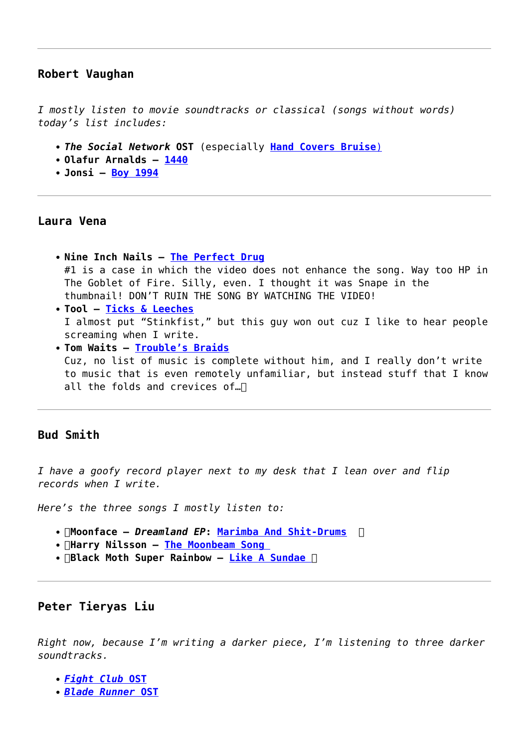#### **Robert Vaughan**

*I mostly listen to movie soundtracks or classical (songs without words) today's list includes:*

- *The Social Network* **OST** (especially **[Hand Covers Bruise](http://www.youtube.com/watch?v=9SBNCYkSceU)**[\)](http://www.youtube.com/watch?v=9SBNCYkSceU)
- **Olafur Arnalds – [1440](https://www.youtube.com/watch?v=DSbS_QeoZuo)**
- **Jonsi – [Boy 1994](https://www.youtube.com/watch?v=-h5gAjNSves‬)**

#### **Laura Vena**

- **Nine Inch Nails [The Perfect Drug](https://vimeo.com/3612941)** #1 is a case in which the video does not enhance the song. Way too HP in The Goblet of Fire. Silly, even. I thought it was Snape in the thumbnail! DON'T RUIN THE SONG BY WATCHING THE VIDEO!
- **Tool [Ticks & Leeches](https://www.youtube.com/watch?v=2NJbRF4CgAA)** I almost put "Stinkfist," but this guy won out cuz I like to hear people screaming when I write.
- **Tom Waits [Trouble's Braids](https://vimeo.com/21792982)** Cuz, no list of music is complete without him, and I really don't write to music that is even remotely unfamiliar, but instead stuff that I know all the folds and crevices of...

## **Bud Smith**

*I have a goofy record player next to my desk that I lean over and flip records when I write.*

*Here's the three songs I mostly listen to:*

- **Moonface** *Dreamland EP***: [Marimba And Shit-Drums](http://m.youtube.com/watch?v=vxnr2KyLAbw)**
- **Harry Nilsson – [The Moonbeam Song](http://m.youtube.com/watch?v=4AkFDAt99ps‬)**
- **Black Moth Super Rainbow [Like A Sundae](http://www.youtube.com/watch?v=FkZQ_O0sml4&app=desktop)**

#### **Peter Tieryas Liu**

*Right now, because I'm writing a darker piece, I'm listening to three darker soundtracks.*

- *[Fight Club](http://www.youtube.com/playlist?list=PL9CAC2FEA2CC0658D)* **[OST](http://www.youtube.com/playlist?list=PL9CAC2FEA2CC0658D)**
- *[Blade Runner](http://www.youtube.com/watch?v=BbtcUL6Asms&list=PL893B18C575A21085)* **[OST](http://www.youtube.com/watch?v=BbtcUL6Asms&list=PL893B18C575A21085)**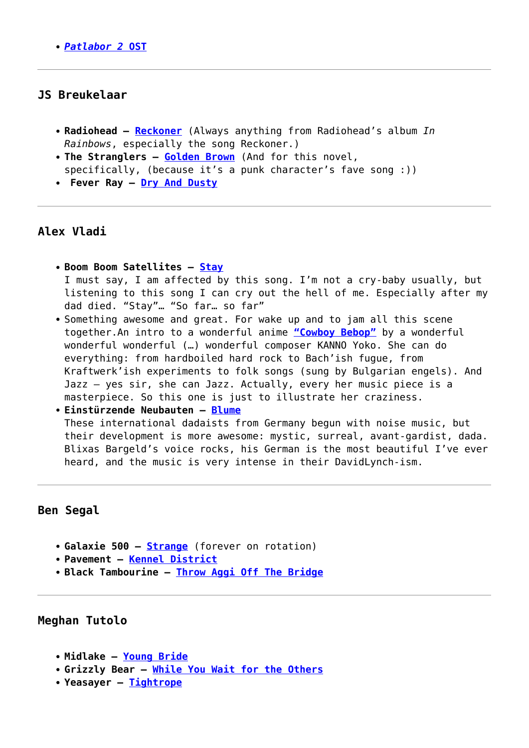*[Patlabor 2](http://www.youtube.com/watch?v=FEK6l02Rl5U&list=PL5F6CCC03ED55248E)* **[OST](http://www.youtube.com/watch?v=FEK6l02Rl5U&list=PL5F6CCC03ED55248E)**

## **JS Breukelaar**

- **Radiohead [Reckoner](https://www.youtube.com/watch?v=rOoCixFA8OI)** (Always anything from Radiohead's album *In Rainbows*, especially the song Reckoner.)
- **The Stranglers – [Golden Brown](https://www.youtube.com/watch?v=d7R7q1lSZfs&feature=kp)** (And for this novel, specifically, (because it's a punk character's fave song :))
- **Fever Ray [Dry And Dusty](https://www.youtube.com/watch?v=J3PPOuuep7Q&feature=kp)**

## **Alex Vladi**

- **Boom Boom Satellites [Stay](http://val.fm/stay-boom-boom-satellites-mp3/)** I must say, I am affected by this song. I'm not a cry-baby usually, but listening to this song I can cry out the hell of me. Especially after my dad died. "Stay"… "So far… so far"
- Something awesome and great. For wake up and to jam all this scene together.An intro to a wonderful anime **["Cowboy Bebop"](https://www.youtube.com/watch?v=n6jCJZEFIto‬)** by a wonderful wonderful wonderful (…) wonderful composer KANNO Yoko. She can do everything: from hardboiled hard rock to Bach'ish fugue, from Kraftwerk'ish experiments to folk songs (sung by Bulgarian engels). And Jazz – yes sir, she can Jazz. Actually, every her music piece is a masterpiece. So this one is just to illustrate her craziness.

```
Einstürzende Neubauten – Blume
These international dadaists from Germany begun with noise music, but
their development is more awesome: mystic, surreal, avant-gardist, dada.
Blixas Bargeld's voice rocks, his German is the most beautiful I've ever
heard, and the music is very intense in their DavidLynch-ism.
```
## **Ben Segal**

- **Galaxie 500 – [Strange](https://www.youtube.com/watch?v=CO29Pz2Hw5w)** (forever on rotation)
- **Pavement – [Kennel District](https://www.youtube.com/watch?v=jYA_pIRASQs)**
- **Black Tambourine – [Throw Aggi Off The Bridge](https://www.youtube.com/watch?v=4_pQYGs0ysU)**

#### **Meghan Tutolo**

- **Midlake [Young Bride](https://www.youtube.com/watch?v=ZtpSidPN3jQ)**
- **Grizzly Bear [While You Wait for the Others](http://www.youtube.com/watch?v=mQ4jZeGUFzI&feature=kp)**
- **Yeasayer – [Tightrope](http://www.youtube.com/watch?v=GziH8s7ksMo)**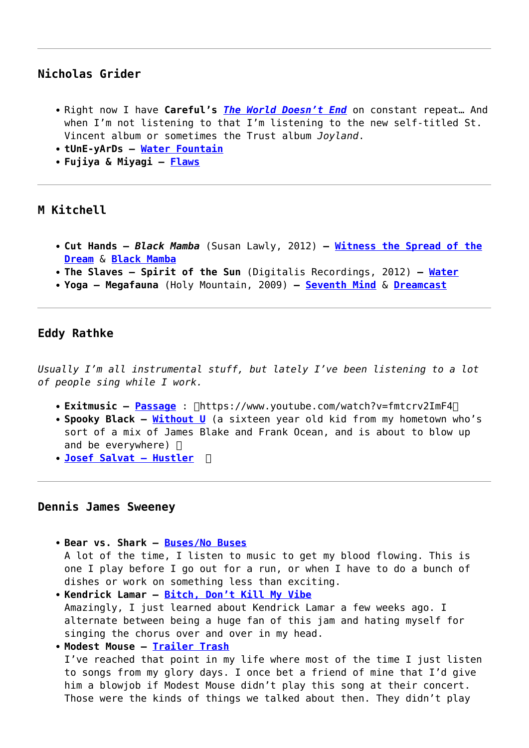# **Nicholas Grider**

- Right now I have Careful's **[The World Doesn't End](http://songs.carefulmusic.com/album/the-world-doesnt-end)** on constant repeat... And when I'm not listening to that I'm listening to the new self-titled St. Vincent album or sometimes the Trust album *Joyland*.
- **tUnE-yArDs [Water Fountain](http://www.youtube.com/watch?v=j-KulvW2TUQ&feature=youtu.be)**
- **Fujiya & Miyagi [Flaws](http://www.youtube.com/watch?v=-CHTWIHqlpU)**

## **M Kitchell**

- **Cut Hands** *Black Mamba* (Susan Lawly, 2012) **– [Witness the Spread of the](http://www.youtube.com/watch?v=vJEx8vg_UNo&feature=youtu.be) [Dream](http://www.youtube.com/watch?v=vJEx8vg_UNo&feature=youtu.be)** & **[Black Mamba](http://www.youtube.com/watch?v=GglYtHJhBhY&feature=youtu.be)**
- **The Slaves Spirit of the Sun** (Digitalis Recordings, 2012) **– [Water](http://www.youtube.com/watch?v=IYeELd0Xt1Y&feature=youtu.be)**
- **Yoga Megafauna** (Holy Mountain, 2009) **– [Seventh Mind](http://www.youtube.com/watch?v=9fS4j6yQk6g&feature=youtu.be)** & **[Dreamcast](http://youtu.be/E5RA-8T2K1M)**

## **Eddy Rathke**

*Usually I'm all instrumental stuff, but lately I've been listening to a lot of people sing while I work.*

- **Exitmusic [Passage](https://www.youtube.com/watch?v=fmtcrv2ImF4)** :  $\Box$ https://www.youtube.com/watch?v=fmtcrv2ImF4 $\Box$
- **Spooky Black [Without U](http://www.youtube.com/watch?v=Rk-EZ8HPPWM)** (a sixteen year old kid from my hometown who's sort of a mix of James Blake and Frank Ocean, and is about to blow up and be everywhere)  $\Box$
- **[Josef Salvat Hustler](https://www.youtube.com/watch?v=L5uv1XN-j_w)**

#### **Dennis James Sweeney**

- **Bear vs. Shark – [Buses/No Buses](https://www.youtube.com/watch?v=SSLA6f6fzY8)** A lot of the time, I listen to music to get my blood flowing. This is one I play before I go out for a run, or when I have to do a bunch of dishes or work on something less than exciting.
- **Kendrick Lamar – [Bitch, Don't Kill My Vibe](https://www.youtube.com/watch?v=GF8aaTu2kg0)** Amazingly, I just learned about Kendrick Lamar a few weeks ago. I alternate between being a huge fan of this jam and hating myself for singing the chorus over and over in my head.
- **Modest Mouse [Trailer Trash](https://www.youtube.com/watch?v=OjecIllOEio)**

I've reached that point in my life where most of the time I just listen to songs from my glory days. I once bet a friend of mine that I'd give him a blowjob if Modest Mouse didn't play this song at their concert. Those were the kinds of things we talked about then. They didn't play